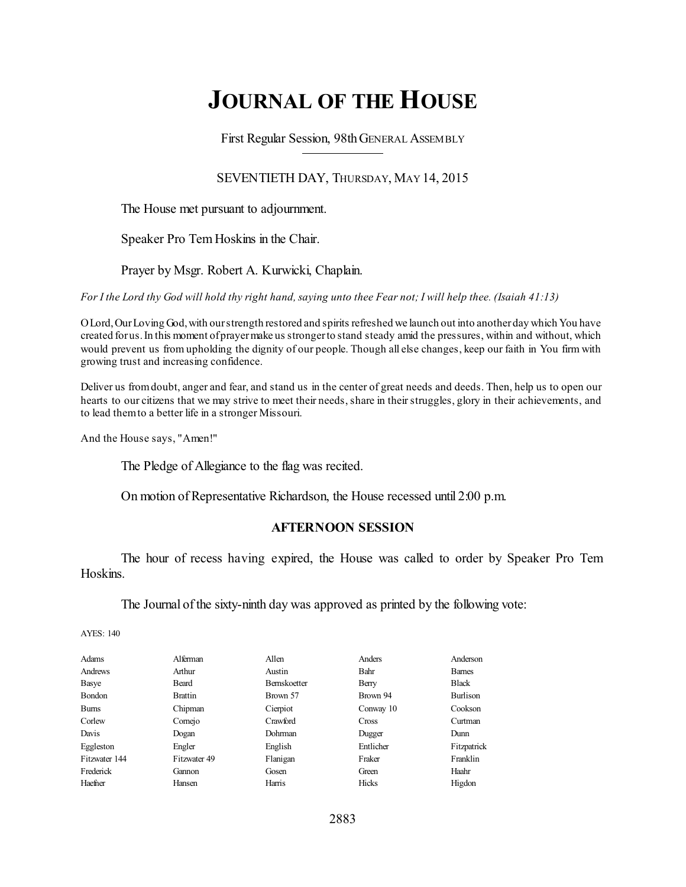# **JOURNAL OF THE HOUSE**

First Regular Session, 98thGENERAL ASSEMBLY

## SEVENTIETH DAY, THURSDAY, MAY 14, 2015

The House met pursuant to adjournment.

Speaker Pro Tem Hoskins in the Chair.

Prayer by Msgr. Robert A. Kurwicki, Chaplain.

For I the Lord thy God will hold thy right hand, saying unto thee Fear not; I will help thee. (Isaiah 41:13)

OLord,OurLoving God,with ourstrength restored and spirits refreshed we launch out into anotherday which You have created forus.In this moment ofprayermake us strongerto stand steady amid the pressures, within and without, which would prevent us from upholding the dignity of our people. Though all else changes, keep our faith in You firm with growing trust and increasing confidence.

Deliver us fromdoubt, anger and fear, and stand us in the center of great needs and deeds. Then, help us to open our hearts to our citizens that we may strive to meet their needs, share in their struggles, glory in their achievements, and to lead themto a better life in a stronger Missouri.

And the House says, "Amen!"

The Pledge of Allegiance to the flag was recited.

On motion of Representative Richardson, the House recessed until 2:00 p.m.

#### **AFTERNOON SESSION**

The hour of recess having expired, the House was called to order by Speaker Pro Tem Hoskins.

The Journal of the sixty-ninth day was approved as printed by the following vote:

AYES: 140

| Adams         | Alferman       | Allen               | Anders      | Anderson        |
|---------------|----------------|---------------------|-------------|-----------------|
| Andrews       | Arthur         | Austin              | <b>Bahr</b> | <b>Bames</b>    |
| Basye         | Beard          | <b>Bernskoetter</b> | Berry       | <b>Black</b>    |
| Bondon        | <b>Brattin</b> | Brown 57            | Brown 94    | <b>Burlison</b> |
| <b>Burns</b>  | Chipman        | Cierpiot            | Conway 10   | Cookson         |
| Corlew        | Comejo         | Crawford            | Cross       | Curtman         |
| Davis         | Dogan          | Dohrman             | Dugger      | Dunn            |
| Eggleston     | Engler         | English             | Entlicher   | Fitzpatrick     |
| Fitzwater 144 | Fitzwater 49   | Flanigan            | Fraker      | Franklin        |
| Frederick     | Gannon         | Gosen               | Green       | Haahr           |
| Haefner       | Hansen         | Harris              | Hicks       | Higdon          |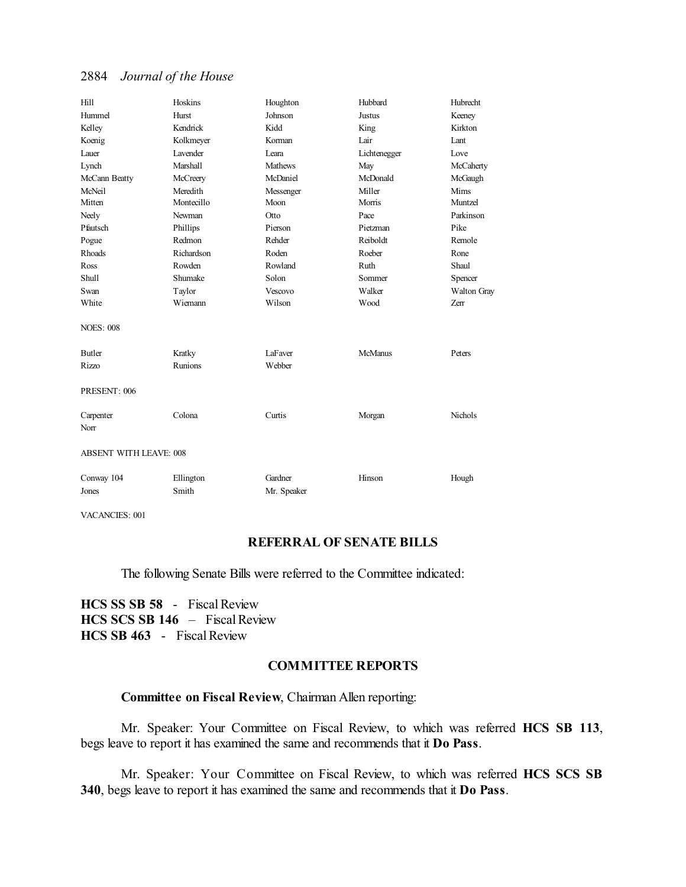## 2884 *Journal of the House*

| Hill                          | Hoskins            | Houghton               | Hubbard        | Hubrecht    |  |
|-------------------------------|--------------------|------------------------|----------------|-------------|--|
| Hummel                        | Hurst              | Johnson                | <b>Justus</b>  | Keeney      |  |
| Kelley                        | Kendrick           | Kidd                   | King           | Kirkton     |  |
| Koenig                        | Kolkmeyer          | Korman                 | Lair           | Lant        |  |
| Lauer                         | <b>Lavender</b>    | I eara                 | Lichtenegger   | Love        |  |
| Lynch                         | <b>Marshall</b>    | <b>Mathews</b>         | May            | McCaherty   |  |
| McCann Beatty                 | McCreery           | McDaniel               | McDonald       | McGaugh     |  |
| McNeil                        | Meredith           | Messenger              | Miller         | Mims        |  |
| Mitten                        | Montecillo         | Moon                   | Morris         | Muntzel     |  |
| Neely                         | Newman             | Otto                   | Pace           | Parkinson   |  |
| Pfautsch                      | Phillips           | Pierson                | Pietzman       | Pike        |  |
| Pogue                         | Redmon             | Rehder                 | Reiboldt       | Remole      |  |
| Rhoads                        | Richardson         | Roden                  | Roeber         | Rone        |  |
| Ross                          | Rowden             | Rowland                | Ruth           | Shaul       |  |
| Shull                         | Shumake            | Solon                  | Sommer         | Spencer     |  |
| Swan                          | Taylor             | Vescovo                | Walker         | Walton Gray |  |
| White                         | Wiemann            | Wilson                 | Wood           | Zerr        |  |
| <b>NOES: 008</b>              |                    |                        |                |             |  |
| <b>Butler</b>                 | Kratky             | LaFaver                | <b>McManus</b> | Peters      |  |
| Rizzo                         | <b>Runions</b>     | Webber                 |                |             |  |
| PRESENT: 006                  |                    |                        |                |             |  |
| Carpenter<br>Norr             | Colona             | Curtis                 | Morgan         | Nichols     |  |
| <b>ABSENT WITH LEAVE: 008</b> |                    |                        |                |             |  |
| Conway 104<br>Jones           | Ellington<br>Smith | Gardner<br>Mr. Speaker | Hinson         | Hough       |  |

VACANCIES: 001

## **REFERRAL OF SENATE BILLS**

The following Senate Bills were referred to the Committee indicated:

**HCS SS SB 58** - Fiscal Review **HCS SCS SB 146** – Fiscal Review **HCS SB 463** - Fiscal Review

## **COMMITTEE REPORTS**

## **Committee on Fiscal Review**, Chairman Allen reporting:

Mr. Speaker: Your Committee on Fiscal Review, to which was referred **HCS SB 113**, begs leave to report it has examined the same and recommends that it **Do Pass**.

Mr. Speaker: Your Committee on Fiscal Review, to which was referred **HCS SCS SB 340**, begs leave to report it has examined the same and recommends that it **Do Pass**.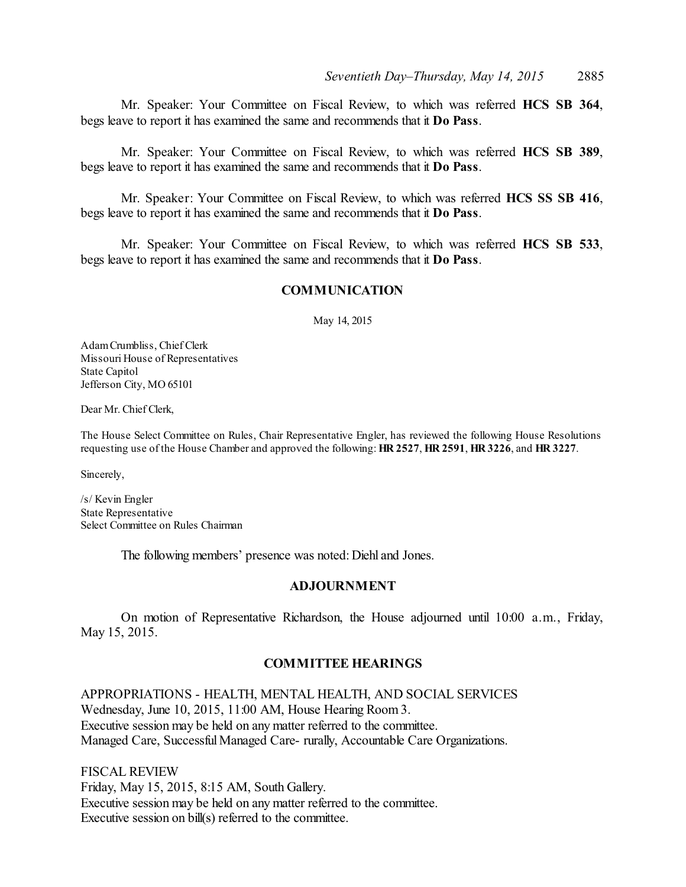Mr. Speaker: Your Committee on Fiscal Review, to which was referred **HCS SB 364**, begs leave to report it has examined the same and recommends that it **Do Pass**.

Mr. Speaker: Your Committee on Fiscal Review, to which was referred **HCS SB 389**, begs leave to report it has examined the same and recommends that it **Do Pass**.

Mr. Speaker: Your Committee on Fiscal Review, to which was referred **HCS SS SB 416**, begs leave to report it has examined the same and recommends that it **Do Pass**.

Mr. Speaker: Your Committee on Fiscal Review, to which was referred **HCS SB 533**, begs leave to report it has examined the same and recommends that it **Do Pass**.

#### **COMMUNICATION**

May 14, 2015

AdamCrumbliss, Chief Clerk Missouri House of Representatives State Capitol Jefferson City, MO 65101

Dear Mr. Chief Clerk,

The House Select Committee on Rules, Chair Representative Engler, has reviewed the following House Resolutions requesting use of the House Chamber and approved the following: **HR 2527**, **HR 2591**, **HR 3226**, and **HR 3227**.

Sincerely,

/s/ Kevin Engler State Representative Select Committee on Rules Chairman

The following members' presence was noted: Diehl and Jones.

#### **ADJOURNMENT**

On motion of Representative Richardson, the House adjourned until 10:00 a.m., Friday, May 15, 2015.

#### **COMMITTEE HEARINGS**

APPROPRIATIONS - HEALTH, MENTAL HEALTH, AND SOCIAL SERVICES Wednesday, June 10, 2015, 11:00 AM, House Hearing Room 3. Executive session may be held on any matter referred to the committee. Managed Care, Successful Managed Care- rurally, Accountable Care Organizations.

FISCAL REVIEW Friday, May 15, 2015, 8:15 AM, South Gallery. Executive session may be held on any matter referred to the committee. Executive session on bill(s) referred to the committee.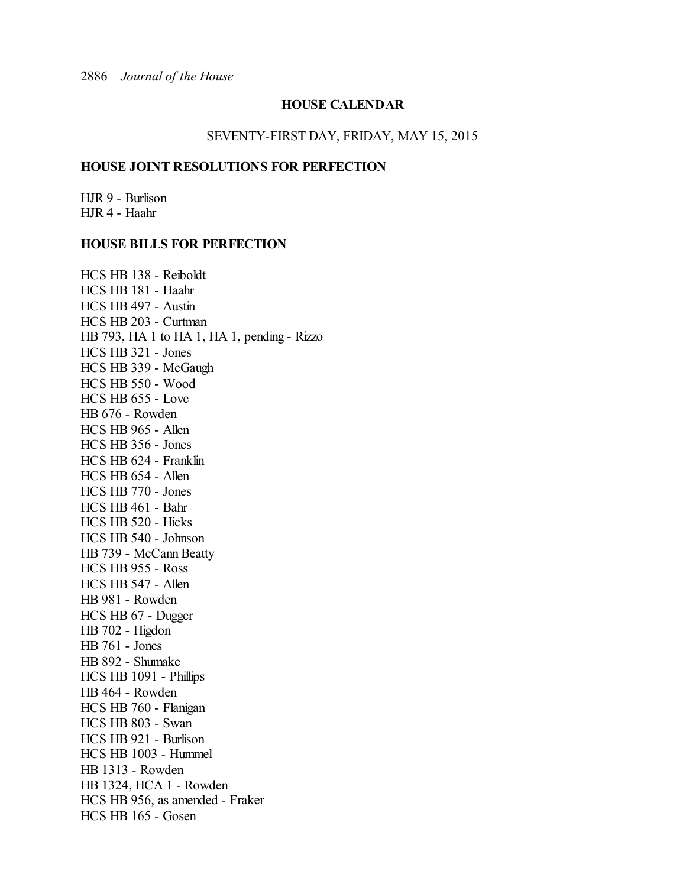## **HOUSE CALENDAR**

#### SEVENTY-FIRST DAY, FRIDAY, MAY 15, 2015

#### **HOUSE JOINT RESOLUTIONS FOR PERFECTION**

HJR 9 - Burlison HJR 4 - Haahr

#### **HOUSE BILLS FOR PERFECTION**

HCS HB 138 - Reiboldt HCS HB 181 - Haahr HCS HB 497 - Austin HCS HB 203 - Curtman HB 793, HA 1 to HA 1, HA 1, pending - Rizzo HCS HB 321 - Jones HCS HB 339 - McGaugh HCS HB 550 - Wood HCS HB 655 - Love HB 676 - Rowden HCS HB 965 - Allen HCS HB 356 - Jones HCS HB 624 - Franklin HCS HB 654 - Allen HCS HB 770 - Jones HCS HB 461 - Bahr HCS HB 520 - Hicks HCS HB 540 - Johnson HB 739 - McCann Beatty HCS HB 955 - Ross HCS HB 547 - Allen HB 981 - Rowden HCS HB 67 - Dugger HB 702 - Higdon HB 761 - Jones HB 892 - Shumake HCS HB 1091 - Phillips HB 464 - Rowden HCS HB 760 - Flanigan HCS HB 803 - Swan HCS HB 921 - Burlison HCS HB 1003 - Hummel HB 1313 - Rowden HB 1324, HCA 1 - Rowden HCS HB 956, as amended - Fraker HCS HB 165 - Gosen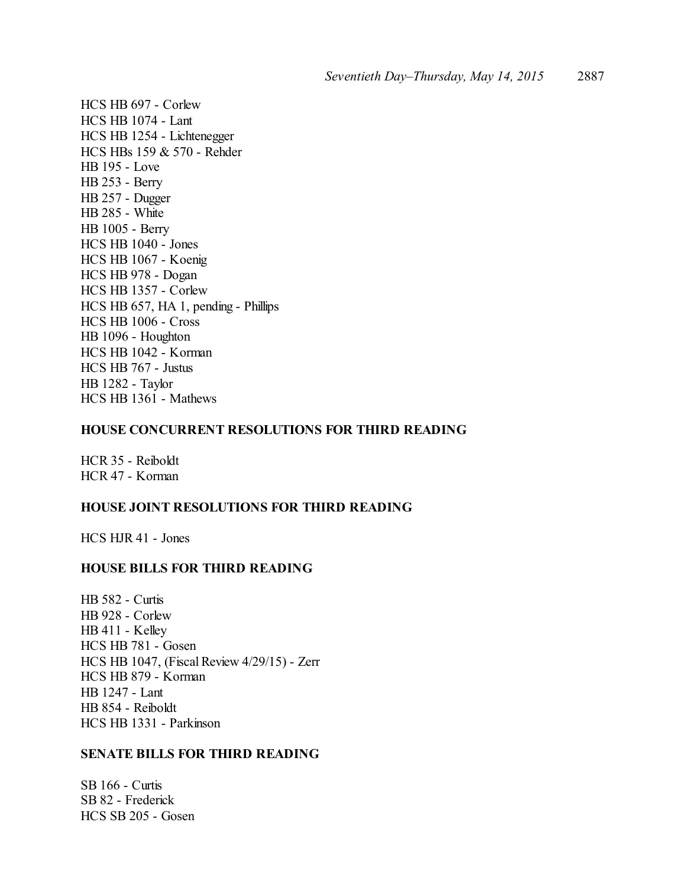HCS HB 697 - Corlew HCS HB 1074 - Lant HCS HB 1254 - Lichtenegger HCS HBs 159 & 570 - Rehder HB 195 - Love HB 253 - Berry HB 257 - Dugger HB 285 - White HB 1005 - Berry HCS HB 1040 - Jones HCS HB 1067 - Koenig HCS HB 978 - Dogan HCS HB 1357 - Corlew HCS HB 657, HA 1, pending - Phillips HCS HB 1006 - Cross HB 1096 - Houghton HCS HB 1042 - Korman HCS HB 767 - Justus HB 1282 - Taylor HCS HB 1361 - Mathews

#### **HOUSE CONCURRENT RESOLUTIONS FOR THIRD READING**

HCR 35 - Reiboldt HCR 47 - Korman

## **HOUSE JOINT RESOLUTIONS FOR THIRD READING**

HCS HJR 41 - Jones

#### **HOUSE BILLS FOR THIRD READING**

HB 582 - Curtis HB 928 - Corlew HB 411 - Kelley HCS HB 781 - Gosen HCS HB 1047, (Fiscal Review 4/29/15) - Zerr HCS HB 879 - Korman HB 1247 - Lant HB 854 - Reiboldt HCS HB 1331 - Parkinson

## **SENATE BILLS FOR THIRD READING**

SB 166 - Curtis SB 82 - Frederick HCS SB 205 - Gosen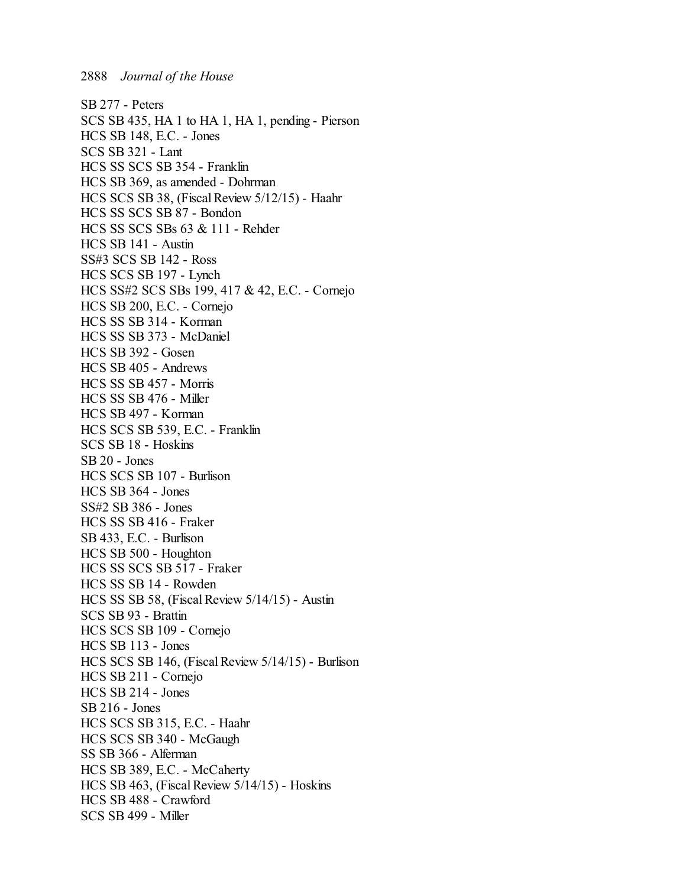SB 277 - Peters SCS SB 435, HA 1 to HA 1, HA 1, pending - Pierson HCS SB 148, E.C. - Jones SCS SB 321 - Lant HCS SS SCS SB 354 - Franklin HCS SB 369, as amended - Dohrman HCS SCS SB 38, (Fiscal Review 5/12/15) - Haahr HCS SS SCS SB 87 - Bondon HCS SS SCS SBs 63 & 111 - Rehder HCS SB 141 - Austin SS#3 SCS SB 142 - Ross HCS SCS SB 197 - Lynch HCS SS#2 SCS SBs 199, 417 & 42, E.C. - Cornejo HCS SB 200, E.C. - Cornejo HCS SS SB 314 - Korman HCS SS SB 373 - McDaniel HCS SB 392 - Gosen HCS SB 405 - Andrews HCS SS SB 457 - Morris HCS SS SB 476 - Miller HCS SB 497 - Korman HCS SCS SB 539, E.C. - Franklin SCS SB 18 - Hoskins SB 20 - Jones HCS SCS SB 107 - Burlison HCS SB 364 - Jones SS#2 SB 386 - Jones HCS SS SB 416 - Fraker SB 433, E.C. - Burlison HCS SB 500 - Houghton HCS SS SCS SB 517 - Fraker HCS SS SB 14 - Rowden HCS SS SB 58, (Fiscal Review 5/14/15) - Austin SCS SB 93 - Brattin HCS SCS SB 109 - Cornejo HCS SB 113 - Jones HCS SCS SB 146, (Fiscal Review 5/14/15) - Burlison HCS SB 211 - Cornejo HCS SB 214 - Jones SB 216 - Jones HCS SCS SB 315, E.C. - Haahr HCS SCS SB 340 - McGaugh SS SB 366 - Alferman HCS SB 389, E.C. - McCaherty HCS SB 463, (Fiscal Review 5/14/15) - Hoskins HCS SB 488 - Crawford SCS SB 499 - Miller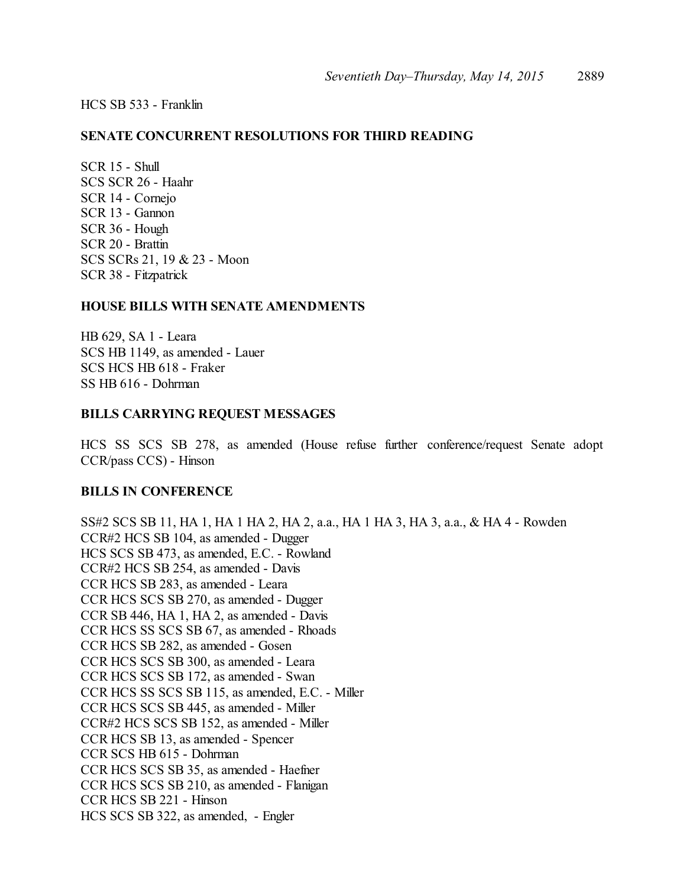HCS SB 533 - Franklin

#### **SENATE CONCURRENT RESOLUTIONS FOR THIRD READING**

SCR 15 - Shull SCS SCR 26 - Haahr SCR 14 - Cornejo SCR 13 - Gannon SCR 36 - Hough SCR 20 - Brattin SCS SCRs 21, 19 & 23 - Moon SCR 38 - Fitzpatrick

#### **HOUSE BILLS WITH SENATE AMENDMENTS**

HB 629, SA 1 - Leara SCS HB 1149, as amended - Lauer SCS HCS HB 618 - Fraker SS HB 616 - Dohrman

#### **BILLS CARRYING REQUEST MESSAGES**

HCS SS SCS SB 278, as amended (House refuse further conference/request Senate adopt CCR/pass CCS) - Hinson

#### **BILLS IN CONFERENCE**

SS#2 SCS SB 11, HA 1, HA 1 HA 2, HA 2, a.a., HA 1 HA 3, HA 3, a.a., & HA 4 - Rowden CCR#2 HCS SB 104, as amended - Dugger HCS SCS SB 473, as amended, E.C. - Rowland CCR#2 HCS SB 254, as amended - Davis CCR HCS SB 283, as amended - Leara CCR HCS SCS SB 270, as amended - Dugger CCR SB 446, HA 1, HA 2, as amended - Davis CCR HCS SS SCS SB 67, as amended - Rhoads CCR HCS SB 282, as amended - Gosen CCR HCS SCS SB 300, as amended - Leara CCR HCS SCS SB 172, as amended - Swan CCR HCS SS SCS SB 115, as amended, E.C. - Miller CCR HCS SCS SB 445, as amended - Miller CCR#2 HCS SCS SB 152, as amended - Miller CCR HCS SB 13, as amended - Spencer CCR SCS HB 615 - Dohrman CCR HCS SCS SB 35, as amended - Haefner CCR HCS SCS SB 210, as amended - Flanigan CCR HCS SB 221 - Hinson HCS SCS SB 322, as amended, - Engler